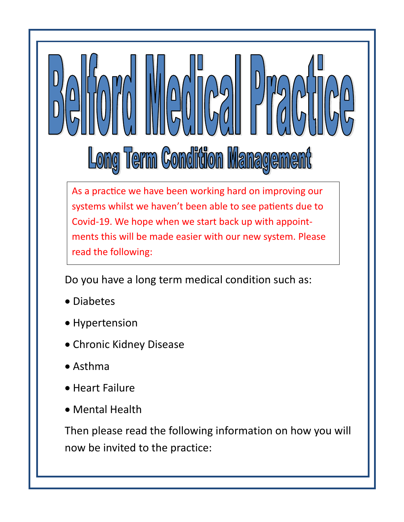# Long Term Condition Management

As a practice we have been working hard on improving our systems whilst we haven't been able to see patients due to Covid-19. We hope when we start back up with appointments this will be made easier with our new system. Please read the following:

Do you have a long term medical condition such as:

- Diabetes
- Hypertension
- Chronic Kidney Disease
- Asthma
- Heart Failure
- Mental Health

Then please read the following information on how you will now be invited to the practice: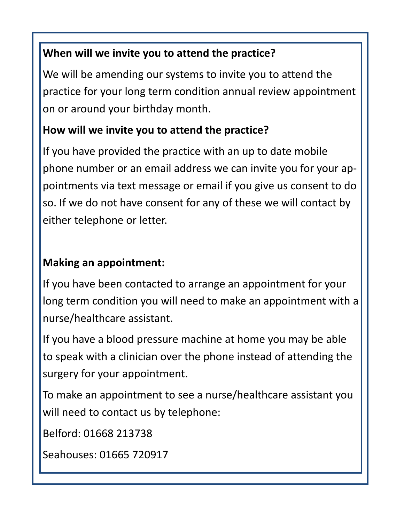#### **When will we invite you to attend the practice?**

We will be amending our systems to invite you to attend the practice for your long term condition annual review appointment on or around your birthday month.

# **How will we invite you to attend the practice?**

If you have provided the practice with an up to date mobile phone number or an email address we can invite you for your appointments via text message or email if you give us consent to do so. If we do not have consent for any of these we will contact by either telephone or letter.

# **Making an appointment:**

If you have been contacted to arrange an appointment for your long term condition you will need to make an appointment with a nurse/healthcare assistant.

If you have a blood pressure machine at home you may be able to speak with a clinician over the phone instead of attending the surgery for your appointment.

To make an appointment to see a nurse/healthcare assistant you will need to contact us by telephone:

Belford: 01668 213738

Seahouses: 01665 720917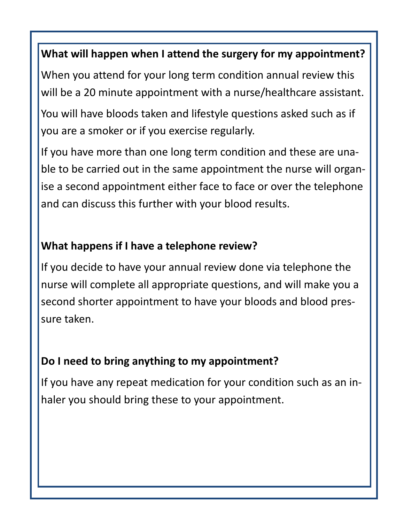#### **What will happen when I attend the surgery for my appointment?**

When you attend for your long term condition annual review this will be a 20 minute appointment with a nurse/healthcare assistant.

You will have bloods taken and lifestyle questions asked such as if you are a smoker or if you exercise regularly.

If you have more than one long term condition and these are unable to be carried out in the same appointment the nurse will organise a second appointment either face to face or over the telephone and can discuss this further with your blood results.

# **What happens if I have a telephone review?**

If you decide to have your annual review done via telephone the nurse will complete all appropriate questions, and will make you a second shorter appointment to have your bloods and blood pressure taken.

# **Do I need to bring anything to my appointment?**

If you have any repeat medication for your condition such as an inhaler you should bring these to your appointment.